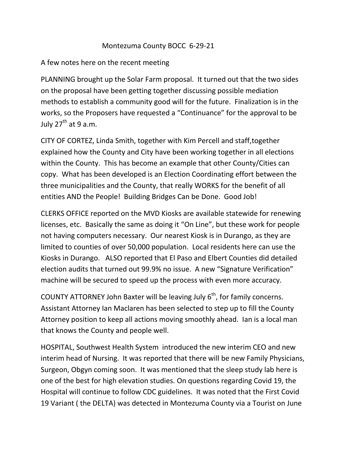## Montezuma County BOCC 6-29-21

## A few notes here on the recent meeting

PLANNING brought up the Solar Farm proposal. It turned out that the two sides on the proposal have been getting together discussing possible mediation methods to establish a community good will for the future. Finalization is in the works, so the Proposers have requested a "Continuance" for the approval to be July  $27^{\text{th}}$  at 9 a.m.

CITY OF CORTEZ, Linda Smith, together with Kim Percell and staff,together explained how the County and City have been working together in all elections within the County. This has become an example that other County/Cities can copy. What has been developed is an Election Coordinating effort between the three municipalities and the County, that really WORKS for the benefit of all entities AND the People! Building Bridges Can be Done. Good Job!

CLERKS OFFICE reported on the MVD Kiosks are available statewide for renewing licenses, etc. Basically the same as doing it "On Line", but these work for people not having computers necessary. Our nearest Kiosk is in Durango, as they are limited to counties of over 50,000 population. Local residents here can use the Kiosks in Durango. ALSO reported that El Paso and Elbert Counties did detailed election audits that turned out 99.9% no issue. A new "Signature Verification" machine will be secured to speed up the process with even more accuracy.

COUNTY ATTORNEY John Baxter will be leaving July  $6<sup>th</sup>$ , for family concerns. Assistant Attorney Ian Maclaren has been selected to step up to fill the County Attorney position to keep all actions moving smoothly ahead. Ian is a local man that knows the County and people well.

HOSPITAL, Southwest Health System introduced the new interim CEO and new interim head of Nursing. It was reported that there will be new Family Physicians, Surgeon, Obgyn coming soon. It was mentioned that the sleep study lab here is one of the best for high elevation studies. On questions regarding Covid 19, the Hospital will continue to follow CDC guidelines. It was noted that the First Covid 19 Variant ( the DELTA) was detected in Montezuma County via a Tourist on June